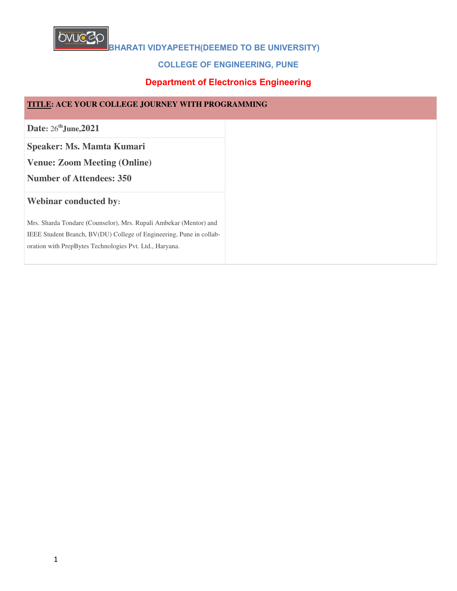

# **COLLEGE OF ENGINEERING, PUNE**

# **Department of Electronics Engineering**

| TITLE: ACE YOUR COLLEGE JOURNEY WITH PROGRAMMING                    |
|---------------------------------------------------------------------|
| Date: 26 <sup>th</sup> June, 2021                                   |
| Speaker: Ms. Mamta Kumari                                           |
| <b>Venue: Zoom Meeting (Online)</b>                                 |
| <b>Number of Attendees: 350</b>                                     |
| <b>Webinar conducted by:</b>                                        |
| Mrs. Sharda Tondare (Counselor), Mrs. Rupali Ambekar (Mentor) and   |
| IEEE Student Branch, BV(DU) College of Engineering, Pune in collab- |
| oration with PrepBytes Technologies Pvt. Ltd., Haryana.             |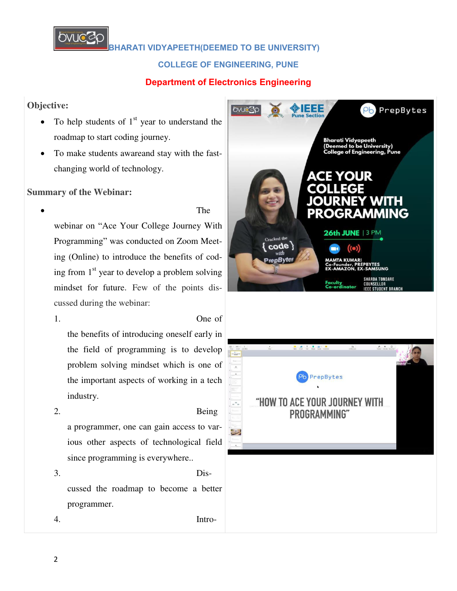

**COLLEGE OF ENGINEERING, PUNE**

# **Department of Electronics Engineering**

### **Objective:**

- To help students of  $1<sup>st</sup>$  year to understand the roadmap to start coding journey.
- To make students awareand stay with the fastchanging world of technology.

## **Summary of the Webinar:**

# The

webinar on "Ace Your College Journey With Programming" was conducted on Zoom Meeting (Online) to introduce the benefits of coding from  $1<sup>st</sup>$  year to develop a problem solving mindset for future. Few of the points discussed during the webinar:

1. One of the benefits of introducing oneself early in the field of programming is to develop problem solving mindset which is one of the important aspects of working in a tech industry.

2. Being a programmer, one can gain access to various other aspects of technological field since programming is everywhere..

3. Discussed the roadmap to become a better programmer.

4. Intro-

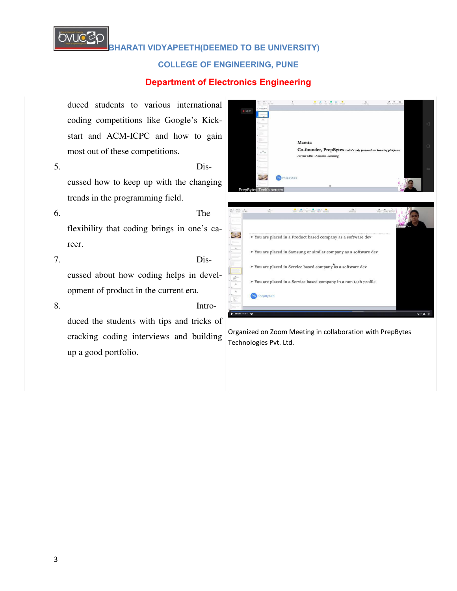

#### **COLLEGE OF ENGINEERING, PUNE**

#### **Department of Electronics Engineering**



Co-founder, PrepBytes India's only pe Former SDE - Amazon, Samsung **BURGER BY** > You are placed in a Product based company as a software dev > You are placed in Samsung or similar company as a software dev > You are placed in Service based company as a software dev  $\blacktriangleright$  You are placed in a Service based company in a non tech profile

Organized on Zoom Meeting in collaboration with PrepBytes